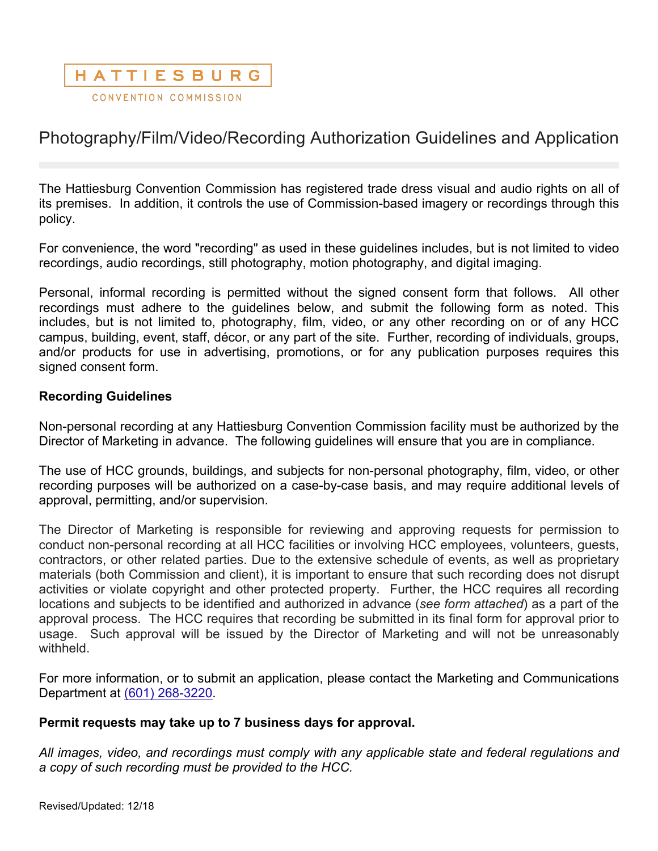# HATTIESBURG

CONVENTION COMMISSION

## Photography/Film/Video/Recording Authorization Guidelines and Application

The Hattiesburg Convention Commission has registered trade dress visual and audio rights on all of its premises. In addition, it controls the use of Commission-based imagery or recordings through this policy.

For convenience, the word "recording" as used in these guidelines includes, but is not limited to video recordings, audio recordings, still photography, motion photography, and digital imaging.

Personal, informal recording is permitted without the signed consent form that follows. All other recordings must adhere to the guidelines below, and submit the following form as noted. This includes, but is not limited to, photography, film, video, or any other recording on or of any HCC campus, building, event, staff, décor, or any part of the site. Further, recording of individuals, groups, and/or products for use in advertising, promotions, or for any publication purposes requires this signed consent form.

#### **Recording Guidelines**

Non-personal recording at any Hattiesburg Convention Commission facility must be authorized by the Director of Marketing in advance. The following guidelines will ensure that you are in compliance.

The use of HCC grounds, buildings, and subjects for non-personal photography, film, video, or other recording purposes will be authorized on a case-by-case basis, and may require additional levels of approval, permitting, and/or supervision.

The Director of Marketing is responsible for reviewing and approving requests for permission to conduct non-personal recording at all HCC facilities or involving HCC employees, volunteers, guests, contractors, or other related parties. Due to the extensive schedule of events, as well as proprietary materials (both Commission and client), it is important to ensure that such recording does not disrupt activities or violate copyright and other protected property. Further, the HCC requires all recording locations and subjects to be identified and authorized in advance (*see form attached*) as a part of the approval process. The HCC requires that recording be submitted in its final form for approval prior to usage. Such approval will be issued by the Director of Marketing and will not be unreasonably withheld.

For more information, or to submit an application, please contact the Marketing and Communications Department at (601) 268-3220.

#### **Permit requests may take up to 7 business days for approval.**

*All images, video, and recordings must comply with any applicable state and federal regulations and a copy of such recording must be provided to the HCC.*